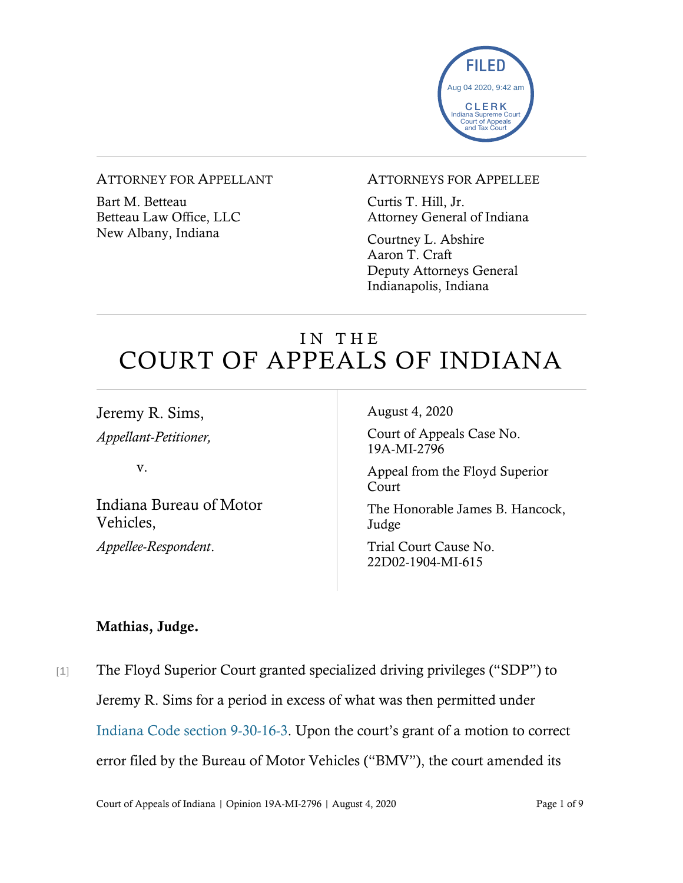

#### ATTORNEY FOR APPELLANT

Bart M. Betteau Betteau Law Office, LLC New Albany, Indiana

#### ATTORNEYS FOR APPELLEE

Curtis T. Hill, Jr. Attorney General of Indiana

Courtney L. Abshire Aaron T. Craft Deputy Attorneys General Indianapolis, Indiana

# IN THE COURT OF APPEALS OF INDIANA

Jeremy R. Sims, *Appellant-Petitioner,*

v.

Indiana Bureau of Motor Vehicles,

*Appellee-Respondent*.

August 4, 2020

Court of Appeals Case No. 19A-MI-2796

Appeal from the Floyd Superior Court

The Honorable James B. Hancock, Judge

Trial Court Cause No. 22D02-1904-MI-615

### Mathias, Judge.

[1] The Floyd Superior Court granted specialized driving privileges ("SDP") to Jeremy R. Sims for a period in excess of what was then permitted under [Indiana Code section 9-30-16-3](https://www.westlaw.com/Document/ND1791F80597211E8BF5EF1F22D143305/View/FullText.html?transitionType=Default&contextData=(sc.Default)&VR=3.0&RS=cblt1.0). Upon the court's grant of a motion to correct error filed by the Bureau of Motor Vehicles ("BMV"), the court amended its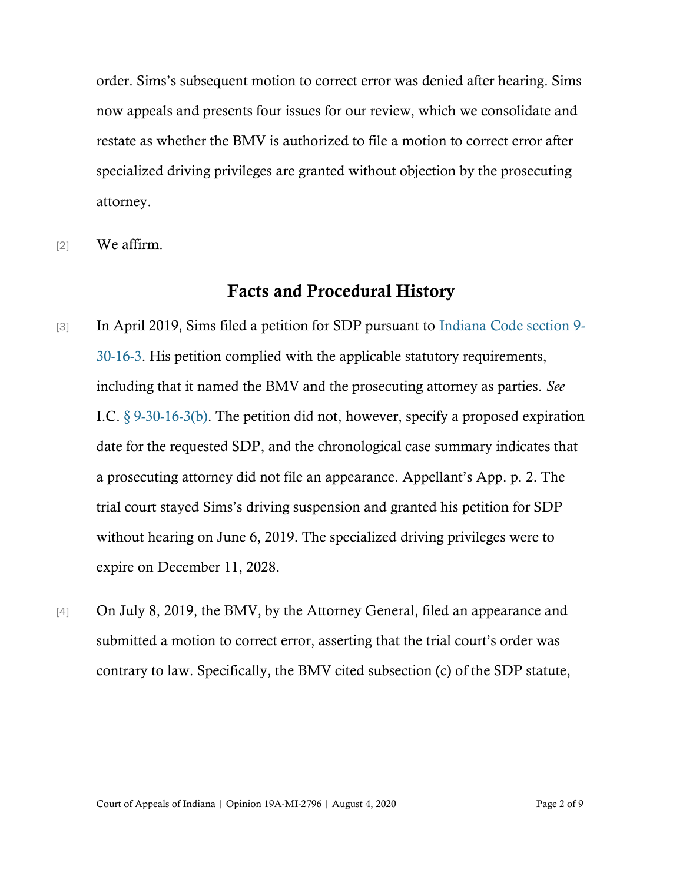order. Sims's subsequent motion to correct error was denied after hearing. Sims now appeals and presents four issues for our review, which we consolidate and restate as whether the BMV is authorized to file a motion to correct error after specialized driving privileges are granted without objection by the prosecuting attorney.

[2] We affirm.

## Facts and Procedural History

- [3] In April 2019, Sims filed a petition for SDP pursuant to [Indiana Code section 9-](https://www.westlaw.com/Document/ND1791F80597211E8BF5EF1F22D143305/View/FullText.html?transitionType=Default&contextData=(sc.Default)&VR=3.0&RS=cblt1.0) [30-16-3.](https://www.westlaw.com/Document/ND1791F80597211E8BF5EF1F22D143305/View/FullText.html?transitionType=Default&contextData=(sc.Default)&VR=3.0&RS=cblt1.0) His petition complied with the applicable statutory requirements, including that it named the BMV and the prosecuting attorney as parties. *See*  I.C. [§ 9-30-16-3\(b\).](https://www.westlaw.com/Document/ND1791F80597211E8BF5EF1F22D143305/View/FullText.html?transitionType=Default&contextData=(sc.Default)&VR=3.0&RS=cblt1.0) The petition did not, however, specify a proposed expiration date for the requested SDP, and the chronological case summary indicates that a prosecuting attorney did not file an appearance. Appellant's App. p. 2. The trial court stayed Sims's driving suspension and granted his petition for SDP without hearing on June 6, 2019. The specialized driving privileges were to expire on December 11, 2028.
- [4] On July 8, 2019, the BMV, by the Attorney General, filed an appearance and submitted a motion to correct error, asserting that the trial court's order was contrary to law. Specifically, the BMV cited subsection (c) of the SDP statute,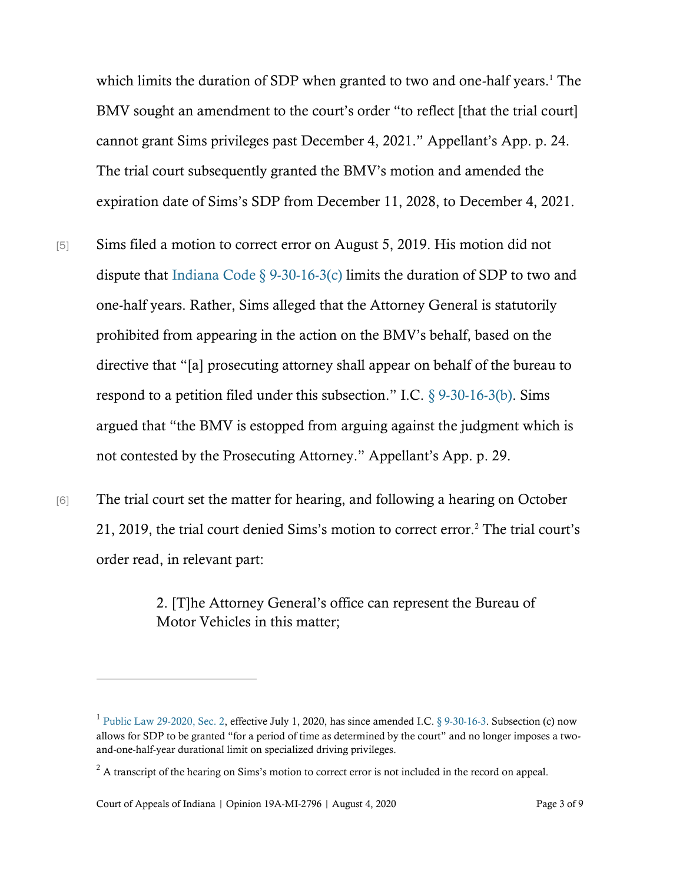which limits the duration of SDP when granted to two and one-half years.<sup>1</sup> The BMV sought an amendment to the court's order "to reflect [that the trial court] cannot grant Sims privileges past December 4, 2021." Appellant's App. p. 24. The trial court subsequently granted the BMV's motion and amended the expiration date of Sims's SDP from December 11, 2028, to December 4, 2021.

- [5] Sims filed a motion to correct error on August 5, 2019. His motion did not dispute that Indiana Code  $\S$  9-30-16-3(c) limits the duration of SDP to two and one-half years. Rather, Sims alleged that the Attorney General is statutorily prohibited from appearing in the action on the BMV's behalf, based on the directive that "[a] prosecuting attorney shall appear on behalf of the bureau to respond to a petition filed under this subsection." I.C.  $\S$  9-30-16-3(b). Sims argued that "the BMV is estopped from arguing against the judgment which is not contested by the Prosecuting Attorney." Appellant's App. p. 29.
- [6] The trial court set the matter for hearing, and following a hearing on October 21, 2019, the trial court denied Sims's motion to correct error.<sup>2</sup> The trial court's order read, in relevant part:

2. [T]he Attorney General's office can represent the Bureau of Motor Vehicles in this matter;

<sup>&</sup>lt;sup>1</sup> [Public Law 29-2020, Sec. 2,](https://www.westlaw.com/Document/I357A7DF0622A11EA9C68EF56E23FBD79/View/FullText.html?transitionType=Default&contextData=(sc.Default)&VR=3.0&RS=cblt1.0) effective July 1, 2020, has since amended I.C. [§ 9-30-16-3.](https://www.westlaw.com/Document/N9911AE6094AC11EABF13CE3587B5C661/View/FullText.html?transitionType=Default&contextData=(sc.Default)&VR=3.0&RS=da3.0) Subsection (c) now allows for SDP to be granted "for a period of time as determined by the court" and no longer imposes a twoand-one-half-year durational limit on specialized driving privileges.

 $2 \text{ A transcript of the hearing on Sims's motion to correct error is not included in the record on appeal.}$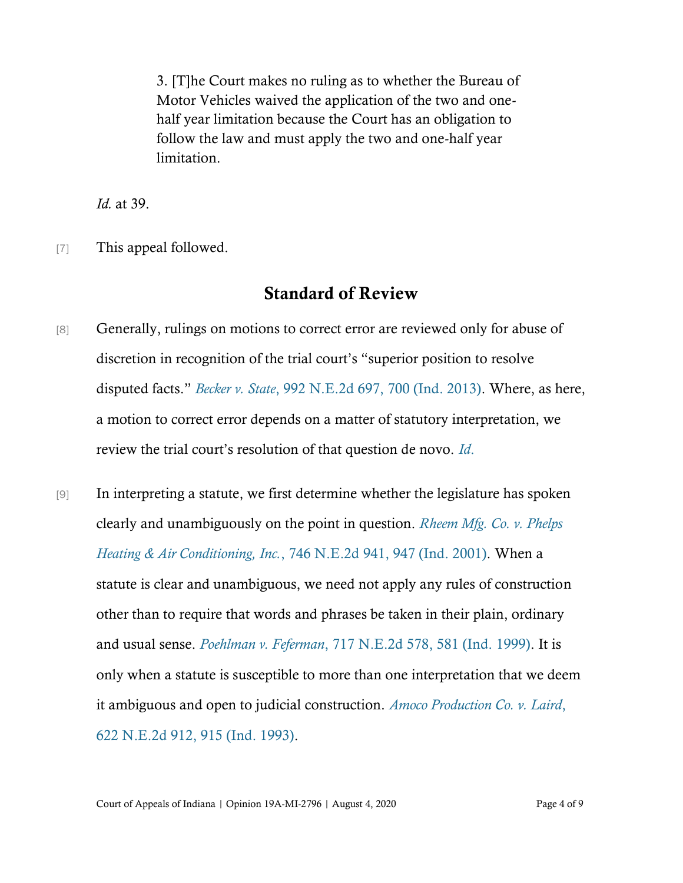3. [T]he Court makes no ruling as to whether the Bureau of Motor Vehicles waived the application of the two and onehalf year limitation because the Court has an obligation to follow the law and must apply the two and one-half year limitation.

*Id.* at 39.

[7] This appeal followed.

## Standard of Review

- [8] Generally, rulings on motions to correct error are reviewed only for abuse of discretion in recognition of the trial court's "superior position to resolve disputed facts." *Becker v. State*[, 992 N.E.2d 697, 700 \(Ind. 2013\).](https://www.westlaw.com/Document/I93cc8e1b0b8111e3a98ec867961a22de/View/FullText.html?transitionType=Default&contextData=(sc.Default)&VR=3.0&RS=da3.0&fragmentIdentifier=co_pp_sp_578_700) Where, as here, a motion to correct error depends on a matter of statutory interpretation, we review the trial court's resolution of that question de novo. *[Id](https://www.westlaw.com/Document/I93cc8e1b0b8111e3a98ec867961a22de/View/FullText.html?transitionType=Default&contextData=(sc.Default)&VR=3.0&RS=da3.0&fragmentIdentifier=co_pp_sp_578_700)*.
- [9] In interpreting a statute, we first determine whether the legislature has spoken clearly and unambiguously on the point in question. *[Rheem Mfg. Co. v. Phelps](https://www.westlaw.com/Document/I62a376f3d39811d99439b076ef9ec4de/View/FullText.html?transitionType=Default&contextData=(sc.Default)&VR=3.0&RS=da3.0&fragmentIdentifier=co_pp_sp_578_947)  Heating & Air Conditioning, Inc.*[, 746 N.E.2d 941, 947 \(Ind. 2001\).](https://www.westlaw.com/Document/I62a376f3d39811d99439b076ef9ec4de/View/FullText.html?transitionType=Default&contextData=(sc.Default)&VR=3.0&RS=da3.0&fragmentIdentifier=co_pp_sp_578_947) When a statute is clear and unambiguous, we need not apply any rules of construction other than to require that words and phrases be taken in their plain, ordinary and usual sense. *Poehlman v. Feferman*[, 717 N.E.2d 578, 581 \(Ind. 1999\).](https://www.westlaw.com/Document/I9f6a671ad3a711d9bf60c1d57ebc853e/View/FullText.html?transitionType=Default&contextData=(sc.Default)&VR=3.0&RS=da3.0&fragmentIdentifier=co_pp_sp_578_581) It is only when a statute is susceptible to more than one interpretation that we deem it ambiguous and open to judicial construction. *[Amoco Production Co. v. Laird](https://www.westlaw.com/Document/I798f8115d46a11d99439b076ef9ec4de/View/FullText.html?transitionType=Default&contextData=(sc.Default)&VR=3.0&RS=da3.0&fragmentIdentifier=co_pp_sp_578_915)*, [622 N.E.2d 912, 915 \(Ind. 1993\).](https://www.westlaw.com/Document/I798f8115d46a11d99439b076ef9ec4de/View/FullText.html?transitionType=Default&contextData=(sc.Default)&VR=3.0&RS=da3.0&fragmentIdentifier=co_pp_sp_578_915)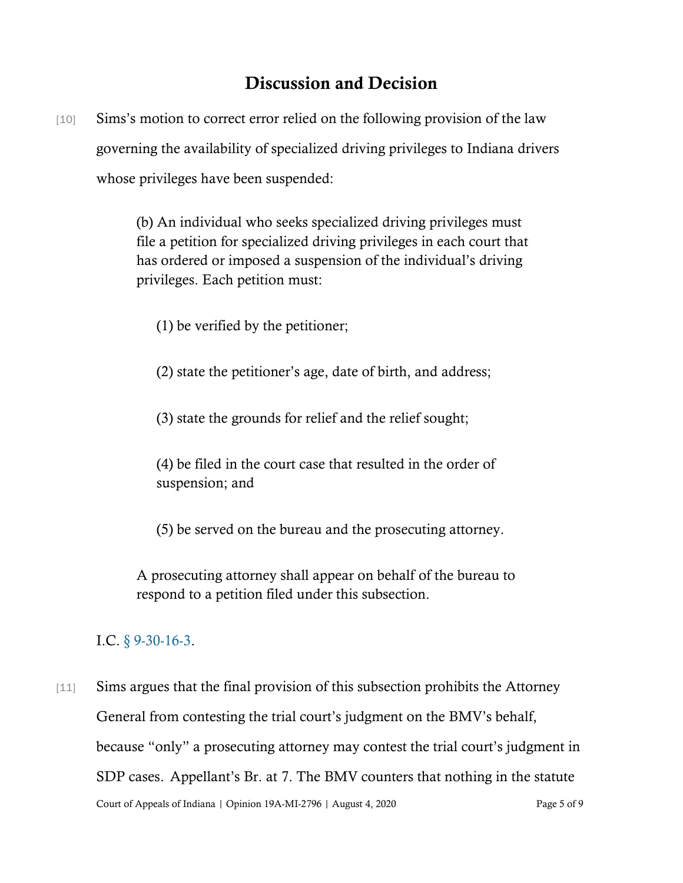# Discussion and Decision

[10] Sims's motion to correct error relied on the following provision of the law governing the availability of specialized driving privileges to Indiana drivers whose privileges have been suspended:

> (b) An individual who seeks specialized driving privileges must file a petition for specialized driving privileges in each court that has ordered or imposed a suspension of the individual's driving privileges. Each petition must:

- (1) be verified by the petitioner;
- (2) state the petitioner's age, date of birth, and address;
- (3) state the grounds for relief and the relief sought;

(4) be filed in the court case that resulted in the order of suspension; and

(5) be served on the bureau and the prosecuting attorney.

A prosecuting attorney shall appear on behalf of the bureau to respond to a petition filed under this subsection.

### I.C. [§ 9-30-16-3.](https://www.westlaw.com/Document/ND1791F80597211E8BF5EF1F22D143305/View/FullText.html?transitionType=Default&contextData=(sc.Default)&VR=3.0&RS=cblt1.0)

Court of Appeals of Indiana | Opinion 19A-MI-2796 | August 4, 2020 Page 5 of 9 [11] Sims argues that the final provision of this subsection prohibits the Attorney General from contesting the trial court's judgment on the BMV's behalf, because "only" a prosecuting attorney may contest the trial court's judgment in SDP cases. Appellant's Br. at 7. The BMV counters that nothing in the statute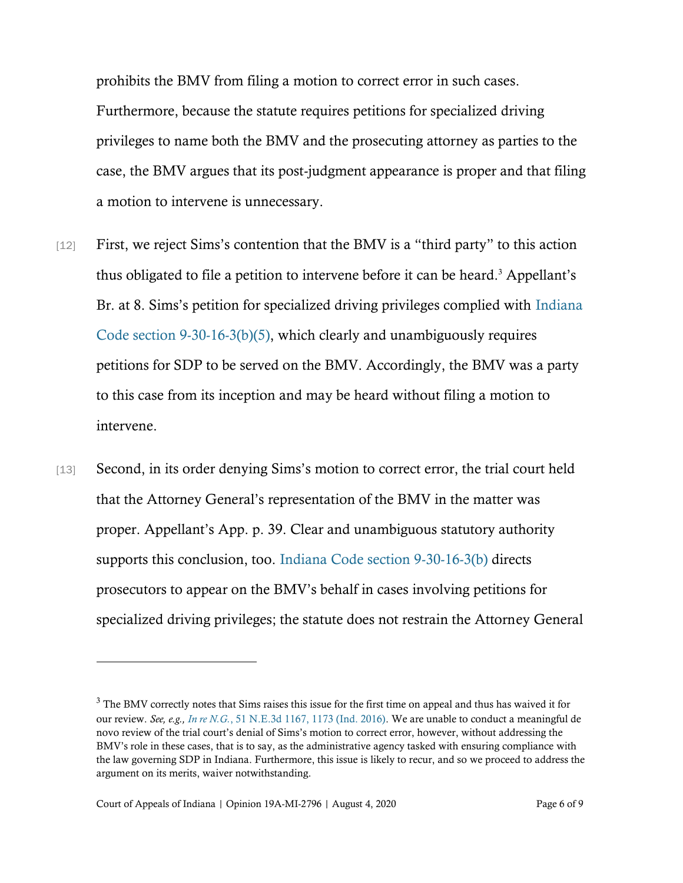prohibits the BMV from filing a motion to correct error in such cases. Furthermore, because the statute requires petitions for specialized driving privileges to name both the BMV and the prosecuting attorney as parties to the case, the BMV argues that its post-judgment appearance is proper and that filing a motion to intervene is unnecessary.

- [12] First, we reject Sims's contention that the BMV is a "third party" to this action thus obligated to file a petition to intervene before it can be heard.<sup>3</sup> Appellant's Br. at 8. Sims's petition for specialized driving privileges complied with [Indiana](https://www.westlaw.com/Document/ND1791F80597211E8BF5EF1F22D143305/View/FullText.html?transitionType=Default&contextData=(sc.Default)&VR=3.0&RS=cblt1.0)  [Code section 9-30-16-3\(b\)\(5\),](https://www.westlaw.com/Document/ND1791F80597211E8BF5EF1F22D143305/View/FullText.html?transitionType=Default&contextData=(sc.Default)&VR=3.0&RS=cblt1.0) which clearly and unambiguously requires petitions for SDP to be served on the BMV. Accordingly, the BMV was a party to this case from its inception and may be heard without filing a motion to intervene.
- [13] Second, in its order denying Sims's motion to correct error, the trial court held that the Attorney General's representation of the BMV in the matter was proper. Appellant's App. p. 39. Clear and unambiguous statutory authority supports this conclusion, too. [Indiana Code section 9-30-16-3\(b\)](https://www.westlaw.com/Document/ND1791F80597211E8BF5EF1F22D143305/View/FullText.html?transitionType=Default&contextData=(sc.Default)&VR=3.0&RS=cblt1.0) directs prosecutors to appear on the BMV's behalf in cases involving petitions for specialized driving privileges; the statute does not restrain the Attorney General

<sup>&</sup>lt;sup>3</sup> The BMV correctly notes that Sims raises this issue for the first time on appeal and thus has waived it for our review. *See, e.g., In re N.G.*[, 51 N.E.3d 1167, 1173 \(Ind. 2016\).](https://www.westlaw.com/Document/I581ce7bc0c1e11e690d4edf60ce7d742/View/FullText.html?transitionType=Default&contextData=(sc.Default)&VR=3.0&RS=da3.0&fragmentIdentifier=co_pp_sp_7902_1173) We are unable to conduct a meaningful de novo review of the trial court's denial of Sims's motion to correct error, however, without addressing the BMV's role in these cases, that is to say, as the administrative agency tasked with ensuring compliance with the law governing SDP in Indiana. Furthermore, this issue is likely to recur, and so we proceed to address the argument on its merits, waiver notwithstanding.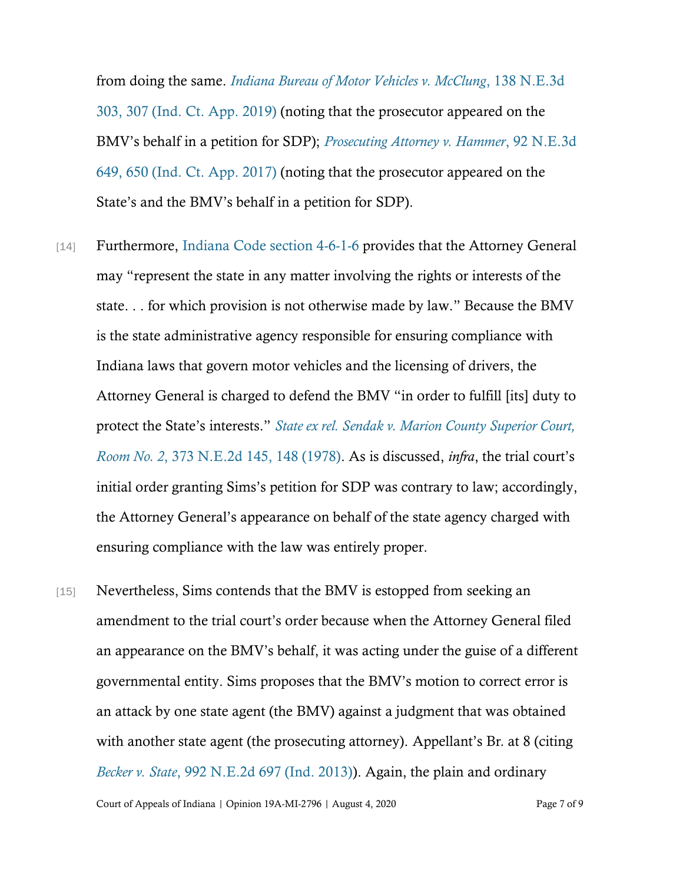from doing the same. *[Indiana Bureau of Motor Vehicles v. McClung](https://www.westlaw.com/Document/Ia241cea01d1211eabbc4990d21dc61be/View/FullText.html?transitionType=Default&contextData=(sc.Default)&VR=3.0&RS=da3.0&fragmentIdentifier=co_pp_sp_7902_307)*, 138 N.E.3d [303, 307 \(Ind. Ct. App. 2019\)](https://www.westlaw.com/Document/Ia241cea01d1211eabbc4990d21dc61be/View/FullText.html?transitionType=Default&contextData=(sc.Default)&VR=3.0&RS=da3.0&fragmentIdentifier=co_pp_sp_7902_307) (noting that the prosecutor appeared on the BMV's behalf in a petition for SDP); *[Prosecuting Attorney v. Hammer](https://www.westlaw.com/Document/I2919d240ecc511e7929ecf6e705a87cd/View/FullText.html?transitionType=Default&contextData=(sc.Default)&VR=3.0&RS=da3.0&fragmentIdentifier=co_pp_sp_7902_650)*, 92 N.E.3d [649, 650 \(Ind. Ct. App. 2017\)](https://www.westlaw.com/Document/I2919d240ecc511e7929ecf6e705a87cd/View/FullText.html?transitionType=Default&contextData=(sc.Default)&VR=3.0&RS=da3.0&fragmentIdentifier=co_pp_sp_7902_650) (noting that the prosecutor appeared on the State's and the BMV's behalf in a petition for SDP).

- [14] Furthermore, [Indiana Code section 4-6-1-6](https://www.westlaw.com/Document/ND0D85260347311E6A563D141CA0605C0/View/FullText.html?transitionType=Default&contextData=(sc.Default)&VR=3.0&RS=da3.0) provides that the Attorney General may "represent the state in any matter involving the rights or interests of the state. . . for which provision is not otherwise made by law." Because the BMV is the state administrative agency responsible for ensuring compliance with Indiana laws that govern motor vehicles and the licensing of drivers, the Attorney General is charged to defend the BMV "in order to fulfill [its] duty to protect the State's interests." *[State ex rel. Sendak v. Marion County Superior Court,](https://www.westlaw.com/Document/Ia97c9d31ee7911d983e7e9deff98dc6f/View/FullText.html?transitionType=Default&contextData=(sc.Default)&VR=3.0&RS=da3.0&fragmentIdentifier=co_pp_sp_578_148)  Room No. 2*[, 373 N.E.2d 145, 148 \(1978\).](https://www.westlaw.com/Document/Ia97c9d31ee7911d983e7e9deff98dc6f/View/FullText.html?transitionType=Default&contextData=(sc.Default)&VR=3.0&RS=da3.0&fragmentIdentifier=co_pp_sp_578_148) As is discussed, *infra*, the trial court's initial order granting Sims's petition for SDP was contrary to law; accordingly, the Attorney General's appearance on behalf of the state agency charged with ensuring compliance with the law was entirely proper.
- [15] Nevertheless, Sims contends that the BMV is estopped from seeking an amendment to the trial court's order because when the Attorney General filed an appearance on the BMV's behalf, it was acting under the guise of a different governmental entity. Sims proposes that the BMV's motion to correct error is an attack by one state agent (the BMV) against a judgment that was obtained with another state agent (the prosecuting attorney). Appellant's Br*.* at 8 (citing *Becker v. State*[, 992 N.E.2d 697 \(Ind. 2013\)\)](https://www.westlaw.com/Document/I93cc8e1b0b8111e3a98ec867961a22de/View/FullText.html?transitionType=Default&contextData=(sc.Default)&VR=3.0&RS=da3.0). Again, the plain and ordinary

Court of Appeals of Indiana | Opinion 19A-MI-2796 | August 4, 2020 Page 7 of 9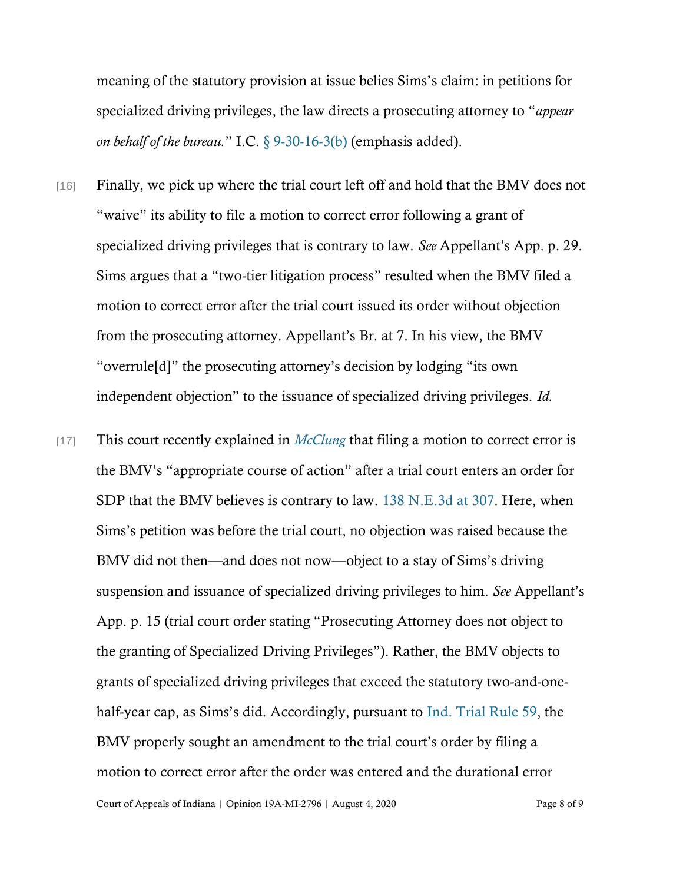meaning of the statutory provision at issue belies Sims's claim: in petitions for specialized driving privileges, the law directs a prosecuting attorney to "*appear on behalf of the bureau.*" I.C. [§ 9-30-16-3\(b\)](https://www.westlaw.com/Document/ND1791F80597211E8BF5EF1F22D143305/View/FullText.html?transitionType=Default&contextData=(sc.Default)&VR=3.0&RS=cblt1.0) (emphasis added).

- [16] Finally, we pick up where the trial court left off and hold that the BMV does not "waive" its ability to file a motion to correct error following a grant of specialized driving privileges that is contrary to law. *See* Appellant's App. p. 29. Sims argues that a "two-tier litigation process" resulted when the BMV filed a motion to correct error after the trial court issued its order without objection from the prosecuting attorney. Appellant's Br. at 7. In his view, the BMV "overrule[d]" the prosecuting attorney's decision by lodging "its own independent objection" to the issuance of specialized driving privileges. *Id.*
- [17] This court recently explained in *[McClung](https://www.westlaw.com/Document/Ia241cea01d1211eabbc4990d21dc61be/View/FullText.html?transitionType=Default&contextData=(sc.Default)&VR=3.0&RS=da3.0)* that filing a motion to correct error is the BMV's "appropriate course of action" after a trial court enters an order for SDP that the BMV believes is contrary to law. [138 N.E.3d at](https://www.westlaw.com/Document/Ia241cea01d1211eabbc4990d21dc61be/View/FullText.html?transitionType=Default&contextData=(sc.Default)&VR=3.0&RS=da3.0&fragmentIdentifier=co_pp_sp_7902_307) 307. Here, when Sims's petition was before the trial court, no objection was raised because the BMV did not then—and does not now—object to a stay of Sims's driving suspension and issuance of specialized driving privileges to him. *See* Appellant's App. p. 15 (trial court order stating "Prosecuting Attorney does not object to the granting of Specialized Driving Privileges"). Rather, the BMV objects to grants of specialized driving privileges that exceed the statutory two-and-onehalf-year cap, as Sims's did. Accordingly, pursuant to Ind. [Trial Rule 59,](https://www.westlaw.com/Document/N8BE4C420816F11DB8132CD13D2280436/View/FullText.html?transitionType=Default&contextData=(sc.Default)&VR=3.0&RS=cblt1.0) the BMV properly sought an amendment to the trial court's order by filing a motion to correct error after the order was entered and the durational error

Court of Appeals of Indiana | Opinion 19A-MI-2796 | August 4, 2020 Page 8 of 9